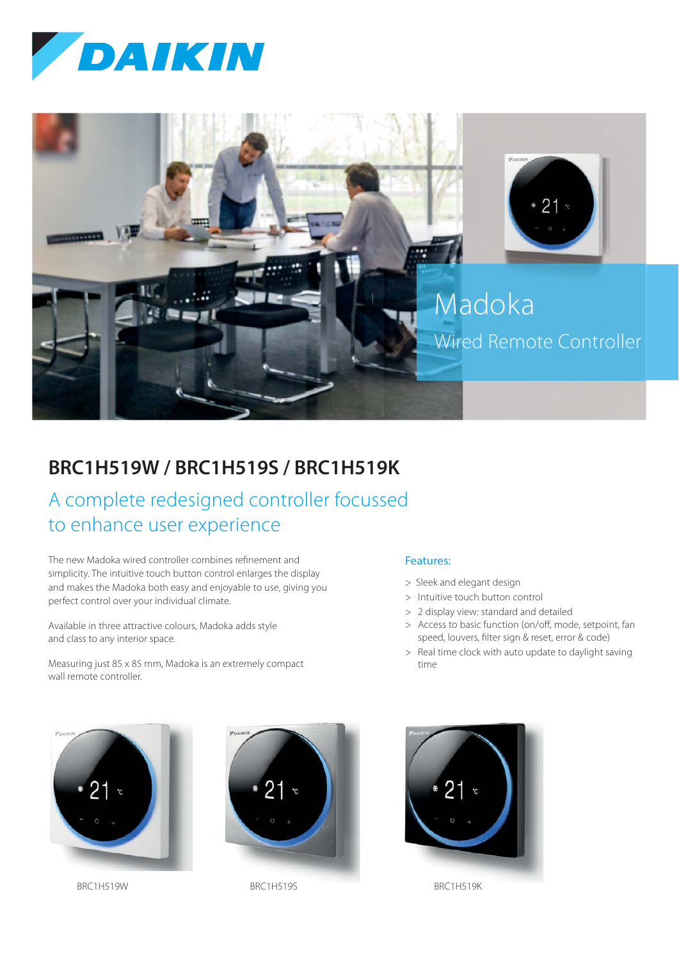



## **BRC1H519W / BRC1H519S / BRC1H519K**

# A complete redesigned controller focussed to enhance user experience

The new Madoka wired controller combines refinement and simplicity. The intuitive touch button control enlarges the display and makes the Madoka both easy and enjoyable to use, giving you perfect control over your individual climate.

Available in three attractive colours, Madoka adds style and class to any interior space.

Measuring just 85 x 85 mm, Madoka is an extremely compact wall remote controller.

## Features:

- > Sleek and elegant design
- > Intuitive touch button control
- > 2 display view: standard and detailed
- > Access to basic function (on/off, mode, setpoint, fan speed, louvers, filter sign & reset, error & code)
- > Real time clock with auto update to daylight saving time



BRC1H519W BRC1H519S BRC1H519S BRC1H519K